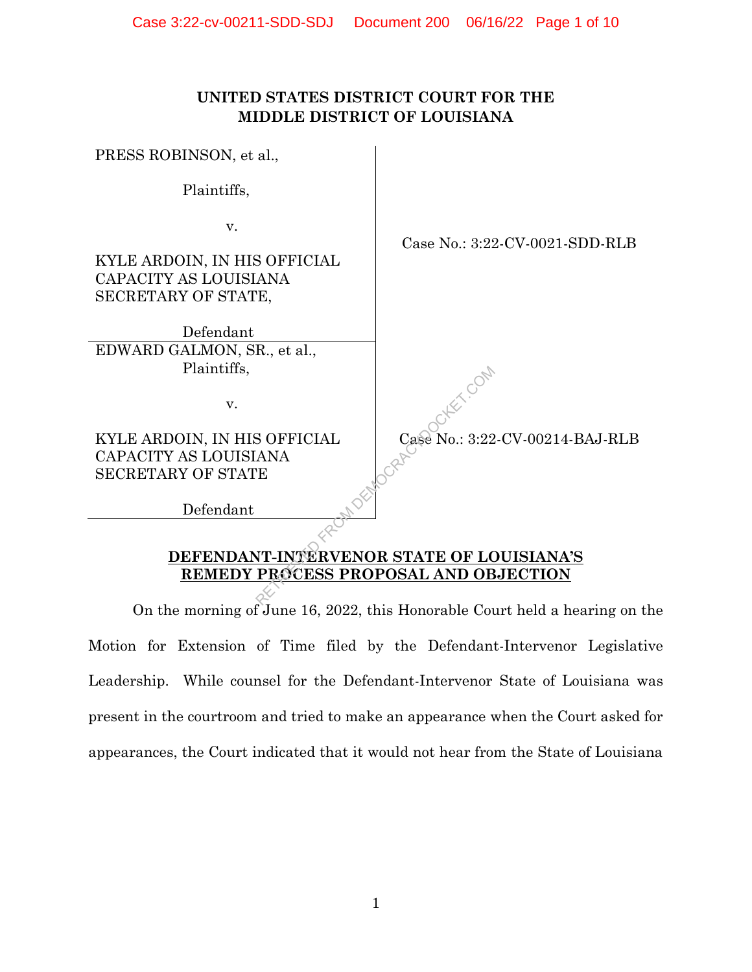# **UNITED STATES DISTRICT COURT FOR THE MIDDLE DISTRICT OF LOUISIANA**

PRESS ROBINSON, et al.,

Plaintiffs,

v.

KYLE ARDOIN, IN HIS OFFICIAL CAPACITY AS LOUISIANA SECRETARY OF STATE,

Defendant EDWARD GALMON, SR., et al., Plaintiffs,

v.

KYLE ARDOIN, IN HIS OFFICIAL CAPACITY AS LOUISIANA SECRETARY OF STATE

Defendant

Case No.: 3:22-CV-00214-BAJ-RLB

Case No.: 3:22-CV-0021-SDD-RLB

**DEFENDANT-INTERVENOR STATE OF LOUISIANA'S** RETRICIAL CASE No.: 3:22

**REMEDY PROCESS PROPOSAL AND OBJECTION** 

On the morning of June 16, 2022, this Honorable Court held a hearing on the Motion for Extension of Time filed by the Defendant-Intervenor Legislative Leadership. While counsel for the Defendant-Intervenor State of Louisiana was present in the courtroom and tried to make an appearance when the Court asked for appearances, the Court indicated that it would not hear from the State of Louisiana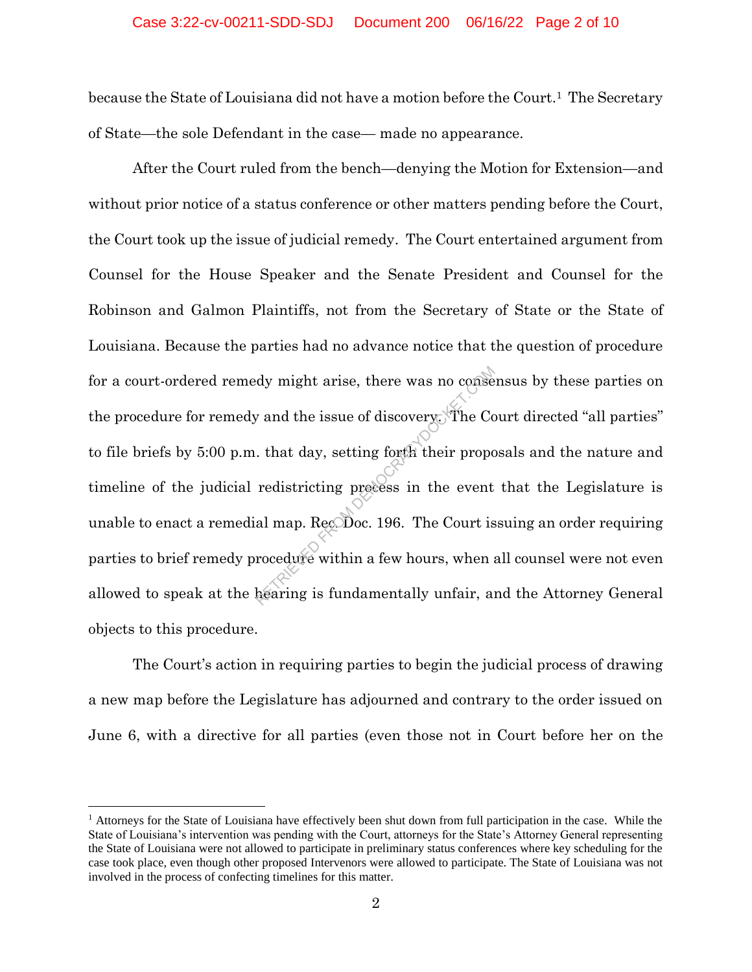because the State of Louisiana did not have a motion before the Court.1 The Secretary of State—the sole Defendant in the case— made no appearance.

After the Court ruled from the bench—denying the Motion for Extension—and without prior notice of a status conference or other matters pending before the Court, the Court took up the issue of judicial remedy. The Court entertained argument from Counsel for the House Speaker and the Senate President and Counsel for the Robinson and Galmon Plaintiffs, not from the Secretary of State or the State of Louisiana. Because the parties had no advance notice that the question of procedure for a court-ordered remedy might arise, there was no consensus by these parties on the procedure for remedy and the issue of discovery. The Court directed "all parties" to file briefs by 5:00 p.m. that day, setting forth their proposals and the nature and timeline of the judicial redistricting process in the event that the Legislature is unable to enact a remedial map. Rec. Doc. 196. The Court issuing an order requiring parties to brief remedy procedure within a few hours, when all counsel were not even allowed to speak at the hearing is fundamentally unfair, and the Attorney General objects to this procedure. dy might arise, there was no conset<br>of and the issue of discovery. The Co<br>that day, setting forth their propor<br>redistricting precess in the event<br>al map. Recoboc. 196. The Court is<br>rocedure within a few hours, when a<br>heari

The Court's action in requiring parties to begin the judicial process of drawing a new map before the Legislature has adjourned and contrary to the order issued on June 6, with a directive for all parties (even those not in Court before her on the

l

<sup>1</sup> Attorneys for the State of Louisiana have effectively been shut down from full participation in the case. While the State of Louisiana's intervention was pending with the Court, attorneys for the State's Attorney General representing the State of Louisiana were not allowed to participate in preliminary status conferences where key scheduling for the case took place, even though other proposed Intervenors were allowed to participate. The State of Louisiana was not involved in the process of confecting timelines for this matter.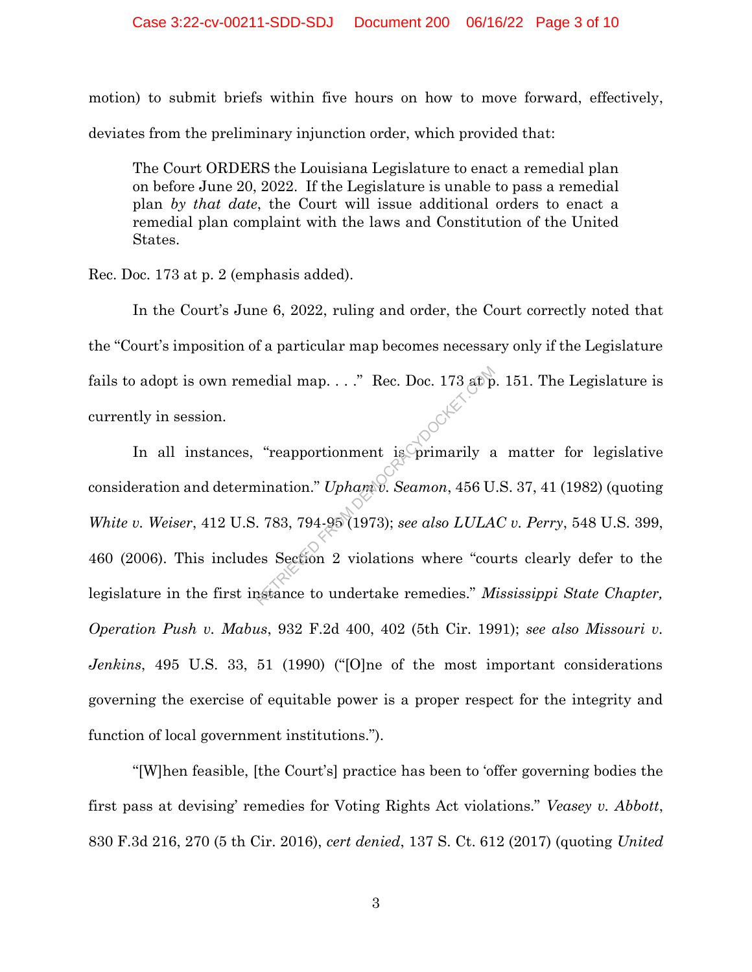motion) to submit briefs within five hours on how to move forward, effectively, deviates from the preliminary injunction order, which provided that:

The Court ORDERS the Louisiana Legislature to enact a remedial plan on before June 20, 2022. If the Legislature is unable to pass a remedial plan *by that date*, the Court will issue additional orders to enact a remedial plan complaint with the laws and Constitution of the United States.

Rec. Doc. 173 at p. 2 (emphasis added).

In the Court's June 6, 2022, ruling and order, the Court correctly noted that the "Court's imposition of a particular map becomes necessary only if the Legislature fails to adopt is own remedial map.  $\ldots$ ." Rec. Doc. 173 at p. 151. The Legislature is currently in session.

In all instances, "reapportionment is primarily a matter for legislative consideration and determination." *Upham v. Seamon*, 456 U.S. 37, 41 (1982) (quoting *White v. Weiser*, 412 U.S. 783, 794-95 (1973); *see also LULAC v. Perry*, 548 U.S. 399, 460 (2006). This includes Section 2 violations where "courts clearly defer to the legislature in the first instance to undertake remedies." *Mississippi State Chapter, Operation Push v. Mabus*, 932 F.2d 400, 402 (5th Cir. 1991); *see also Missouri v. Jenkins*, 495 U.S. 33, 51 (1990) ("[O]ne of the most important considerations governing the exercise of equitable power is a proper respect for the integrity and function of local government institutions."). Franch Magnetics Control Control (Control Control Control Control Control Control Control Control Control Control Control Control Control Control Control Control Control Control Control Control Control Control Control Con

"[W]hen feasible, [the Court's] practice has been to 'offer governing bodies the first pass at devising' remedies for Voting Rights Act violations." *Veasey v. Abbott*, 830 F.3d 216, 270 (5 th Cir. 2016), *cert denied*, 137 S. Ct. 612 (2017) (quoting *United*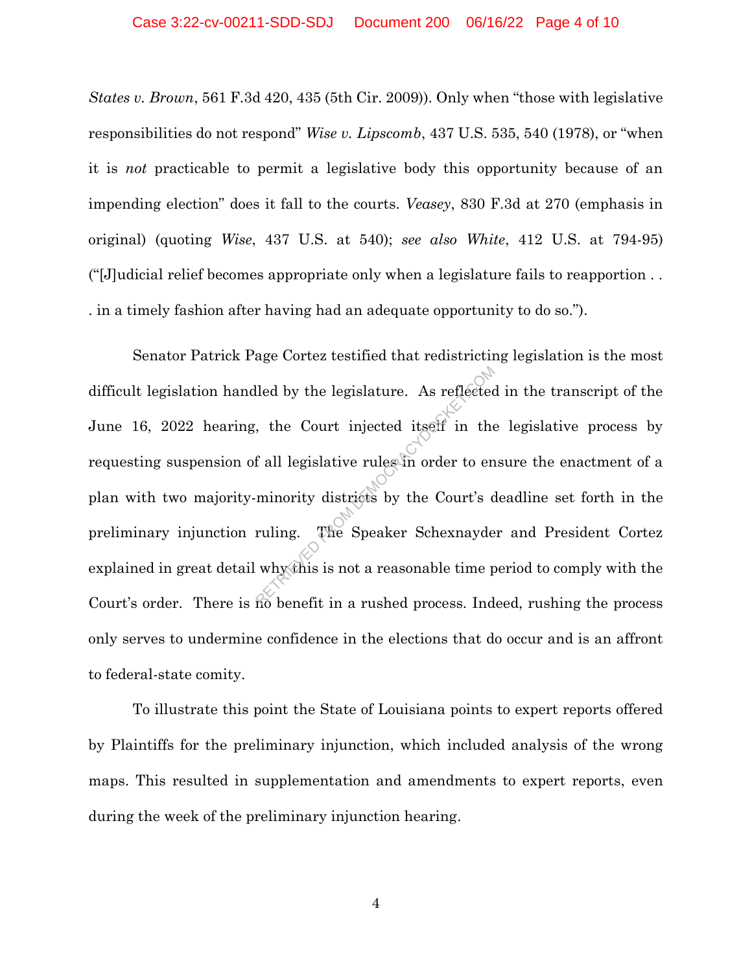*States v. Brown*, 561 F.3d 420, 435 (5th Cir. 2009)). Only when "those with legislative responsibilities do not respond" *Wise v. Lipscomb*, 437 U.S. 535, 540 (1978), or "when it is *not* practicable to permit a legislative body this opportunity because of an impending election" does it fall to the courts. *Veasey*, 830 F.3d at 270 (emphasis in original) (quoting *Wise*, 437 U.S. at 540); *see also White*, 412 U.S. at 794-95) ("[J]udicial relief becomes appropriate only when a legislature fails to reapportion . . . in a timely fashion after having had an adequate opportunity to do so.").

Senator Patrick Page Cortez testified that redistricting legislation is the most difficult legislation handled by the legislature. As reflected in the transcript of the June 16, 2022 hearing, the Court injected itself in the legislative process by requesting suspension of all legislative rules in order to ensure the enactment of a plan with two majority-minority districts by the Court's deadline set forth in the preliminary injunction ruling. The Speaker Schexnayder and President Cortez explained in great detail why this is not a reasonable time period to comply with the Court's order. There is no benefit in a rushed process. Indeed, rushing the process only serves to undermine confidence in the elections that do occur and is an affront to federal-state comity. lled by the legislature. As reflected<br>
, the Court injected itself in the<br>
f all legislative rules in order to en<br>
minority districts by the Court's d<br>
ruling. The Speaker Schexnayde<br>
whythis is not a reasonable time p<br>
re

To illustrate this point the State of Louisiana points to expert reports offered by Plaintiffs for the preliminary injunction, which included analysis of the wrong maps. This resulted in supplementation and amendments to expert reports, even during the week of the preliminary injunction hearing.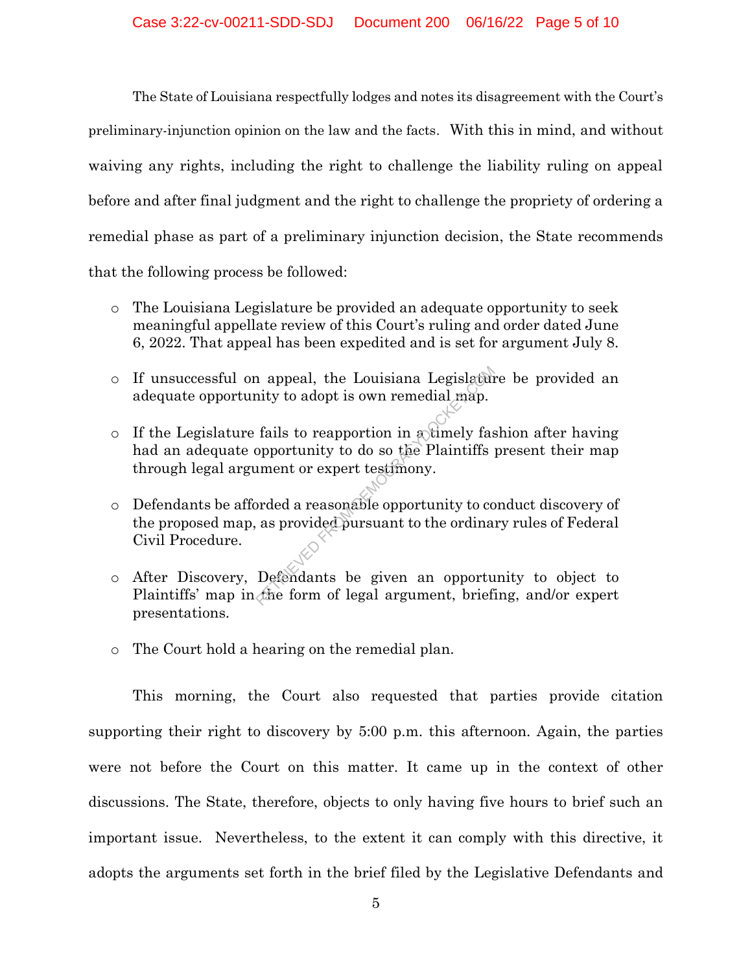The State of Louisiana respectfully lodges and notes its disagreement with the Court's preliminary-injunction opinion on the law and the facts. With this in mind, and without waiving any rights, including the right to challenge the liability ruling on appeal before and after final judgment and the right to challenge the propriety of ordering a remedial phase as part of a preliminary injunction decision, the State recommends that the following process be followed:

- o The Louisiana Legislature be provided an adequate opportunity to seek meaningful appellate review of this Court's ruling and order dated June 6, 2022. That appeal has been expedited and is set for argument July 8.
- o If unsuccessful on appeal, the Louisiana Legislature be provided an adequate opportunity to adopt is own remedial map.
- $\circ$  If the Legislature fails to reapportion in a timely fashion after having had an adequate opportunity to do so the Plaintiffs present their map through legal argument or expert testimony. repreaded the Louisiana Legislature<br>
Regislature in the Margon Carlo Componentity to do so the Plaintiffs<br>
intert or expert testimony.<br>
Summent or expert testimony.<br>
Summer or expert testimony.<br>
Summer is a provided pursua
- o Defendants be afforded a reasonable opportunity to conduct discovery of the proposed map, as provided pursuant to the ordinary rules of Federal Civil Procedure.
- o After Discovery, Defendants be given an opportunity to object to Plaintiffs' map in the form of legal argument, briefing, and/or expert presentations.
- o The Court hold a hearing on the remedial plan.

This morning, the Court also requested that parties provide citation supporting their right to discovery by 5:00 p.m. this afternoon. Again, the parties were not before the Court on this matter. It came up in the context of other discussions. The State, therefore, objects to only having five hours to brief such an important issue. Nevertheless, to the extent it can comply with this directive, it adopts the arguments set forth in the brief filed by the Legislative Defendants and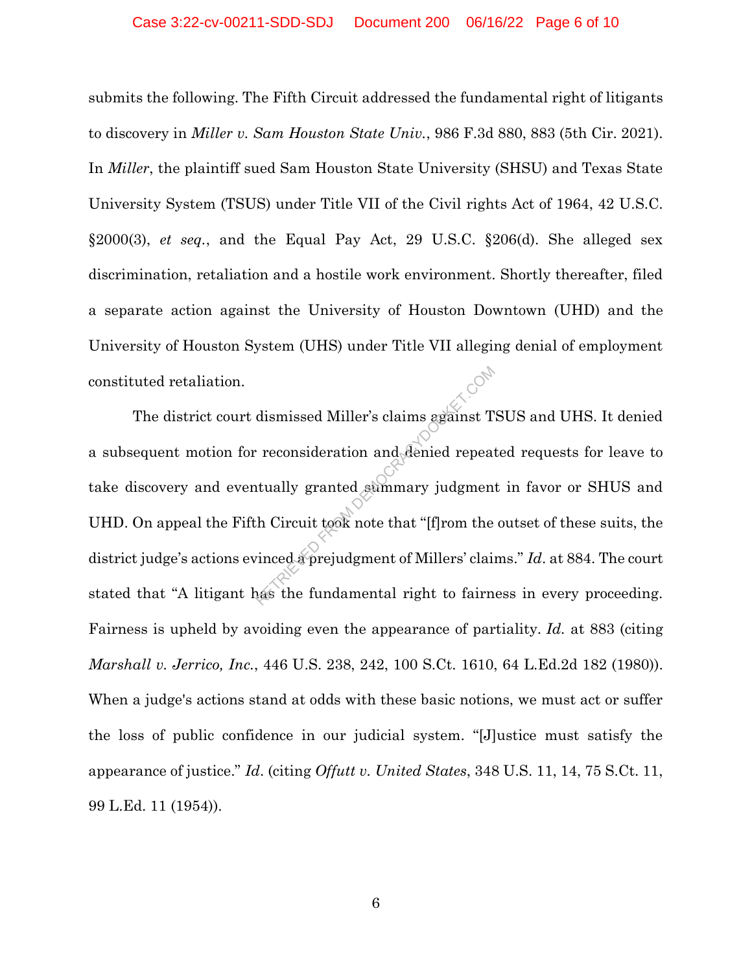#### Case 3:22-cv-00211-SDD-SDJ Document 200 06/16/22 Page 6 of 10

submits the following. The Fifth Circuit addressed the fundamental right of litigants to discovery in *Miller v. Sam Houston State Univ.*, 986 F.3d 880, 883 (5th Cir. 2021). In *Miller*, the plaintiff sued Sam Houston State University (SHSU) and Texas State University System (TSUS) under Title VII of the Civil rights Act of 1964, 42 U.S.C. §2000(3), *et seq.*, and the Equal Pay Act, 29 U.S.C. §206(d). She alleged sex discrimination, retaliation and a hostile work environment. Shortly thereafter, filed a separate action against the University of Houston Downtown (UHD) and the University of Houston System (UHS) under Title VII alleging denial of employment constituted retaliation.

The district court dismissed Miller's claims against TSUS and UHS. It denied a subsequent motion for reconsideration and denied repeated requests for leave to take discovery and eventually granted summary judgment in favor or SHUS and UHD. On appeal the Fifth Circuit took note that "[f]rom the outset of these suits, the district judge's actions evinced a prejudgment of Millers' claims." *Id*. at 884. The court stated that "A litigant has the fundamental right to fairness in every proceeding. Fairness is upheld by avoiding even the appearance of partiality. *Id.* at 883 (citing *Marshall v. Jerrico, Inc.*, 446 U.S. 238, 242, 100 S.Ct. 1610, 64 L.Ed.2d 182 (1980)). When a judge's actions stand at odds with these basic notions, we must act or suffer the loss of public confidence in our judicial system. "[J]ustice must satisfy the appearance of justice." *Id*. (citing *Offutt v. United States*, 348 U.S. 11, 14, 75 S.Ct. 11, 99 L.Ed. 11 (1954)). dismissed Miller's claims against T<br>
reconsideration and denied repeat<br>
itually granted summary judgmen<br>
h Circuit took note that "[f]rom the<br>
inced a prejudgment of Millers' claim<br>
as the fundamental right to fairn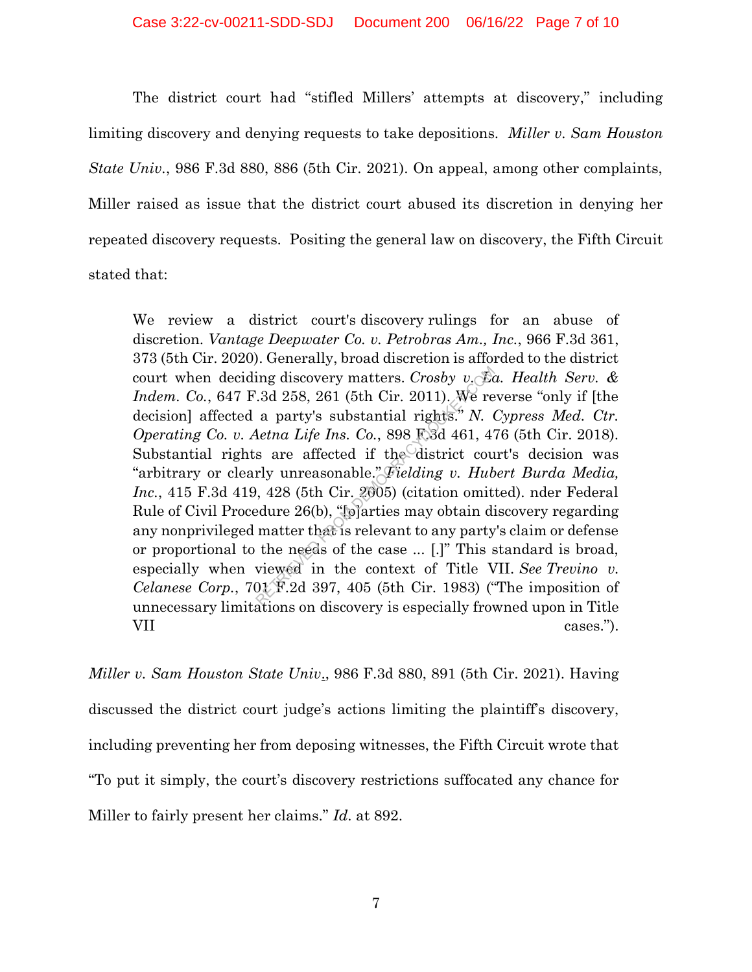The district court had "stifled Millers' attempts at discovery," including limiting discovery and denying requests to take depositions. *Miller v. Sam Houston State Univ.*, 986 F.3d 880, 886 (5th Cir. 2021). On appeal, among other complaints, Miller raised as issue that the district court abused its discretion in denying her repeated discovery requests. Positing the general law on discovery, the Fifth Circuit stated that:

We review a district court's discovery rulings for an abuse of discretion. *Vantage Deepwater Co. v. Petrobras Am., Inc.*, 966 F.3d 361, 373 (5th Cir. 2020). Generally, broad discretion is afforded to the district court when deciding discovery matters. *Crosby v. La. Health Serv. & Indem. Co.*, 647 F.3d 258, 261 (5th Cir. 2011). We reverse "only if [the decision] affected a party's substantial rights." *N. Cypress Med. Ctr. Operating Co. v. Aetna Life Ins. Co.*, 898 F.3d 461, 476 (5th Cir. 2018). Substantial rights are affected if the district court's decision was "arbitrary or clearly unreasonable." *Fielding v. Hubert Burda Media, Inc.*, 415 F.3d 419, 428 (5th Cir. 2005) (citation omitted). nder Federal Rule of Civil Procedure 26(b), "[p]arties may obtain discovery regarding any nonprivileged matter that is relevant to any party's claim or defense or proportional to the needs of the case ... [.]" This standard is broad, especially when viewed in the context of Title VII. *See Trevino v. Celanese Corp.*, 701 F.2d 397, 405 (5th Cir. 1983) ("The imposition of unnecessary limitations on discovery is especially frowned upon in Title VII cases."). ing discovery matters. *Crosby v.* Ed. 3d 258, 261 (5th Cir. 2011). We re<br>a party's substantial rights." N. (<br>detna Life Ins. Co., 898 F.3d 461, 4'<br>s are affected if the district courly unreasonable." Fielding v. Hub<br>, 42

*Miller v. Sam Houston State Univ*., 986 F.3d 880, 891 (5th Cir. 2021). Having discussed the district court judge's actions limiting the plaintiff's discovery, including preventing her from deposing witnesses, the Fifth Circuit wrote that "To put it simply, the court's discovery restrictions suffocated any chance for Miller to fairly present her claims." *Id*. at 892.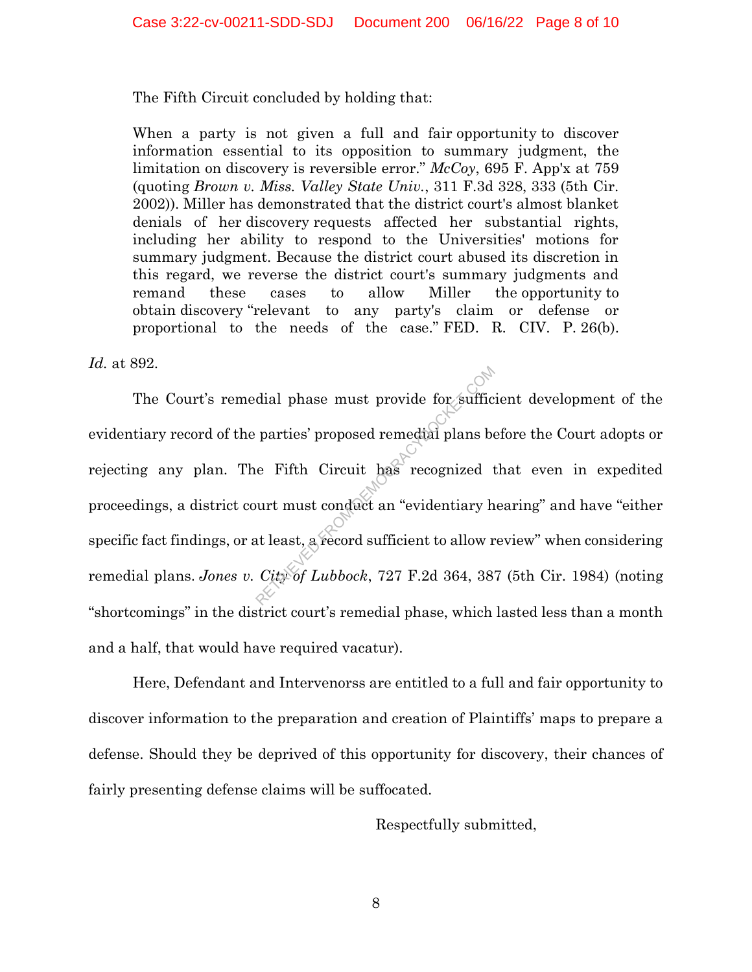The Fifth Circuit concluded by holding that:

When a party is not given a full and fair opportunity to discover information essential to its opposition to summary judgment, the limitation on discovery is reversible error." *McCoy*, 695 F. App'x at 759 (quoting *Brown v. Miss. Valley State Univ.*, 311 F.3d 328, 333 (5th Cir. 2002)). Miller has demonstrated that the district court's almost blanket denials of her discovery requests affected her substantial rights, including her ability to respond to the Universities' motions for summary judgment. Because the district court abused its discretion in this regard, we reverse the district court's summary judgments and remand these cases to allow Miller the opportunity to obtain discovery "relevant to any party's claim or defense or proportional to the needs of the case." FED. R. CIV. P. 26(b).

*Id.* at 892.

The Court's remedial phase must provide for sufficient development of the evidentiary record of the parties' proposed remedial plans before the Court adopts or rejecting any plan. The Fifth Circuit has recognized that even in expedited proceedings, a district court must conduct an "evidentiary hearing" and have "either specific fact findings, or at least, a record sufficient to allow review" when considering remedial plans. *Jones v. City of Lubbock*, 727 F.2d 364, 387 (5th Cir. 1984) (noting "shortcomings" in the district court's remedial phase, which lasted less than a month and a half, that would have required vacatur). dial phase must provide for suffic<br>parties' proposed remedial plans be<br>e Fifth Circuit has recognized t<br>urt must conduct an "evidentiary h<br>at least, a record sufficient to allow r<br>City of Lubbock, 727 F.2d 364, 38

Here, Defendant and Intervenorss are entitled to a full and fair opportunity to discover information to the preparation and creation of Plaintiffs' maps to prepare a defense. Should they be deprived of this opportunity for discovery, their chances of fairly presenting defense claims will be suffocated.

Respectfully submitted,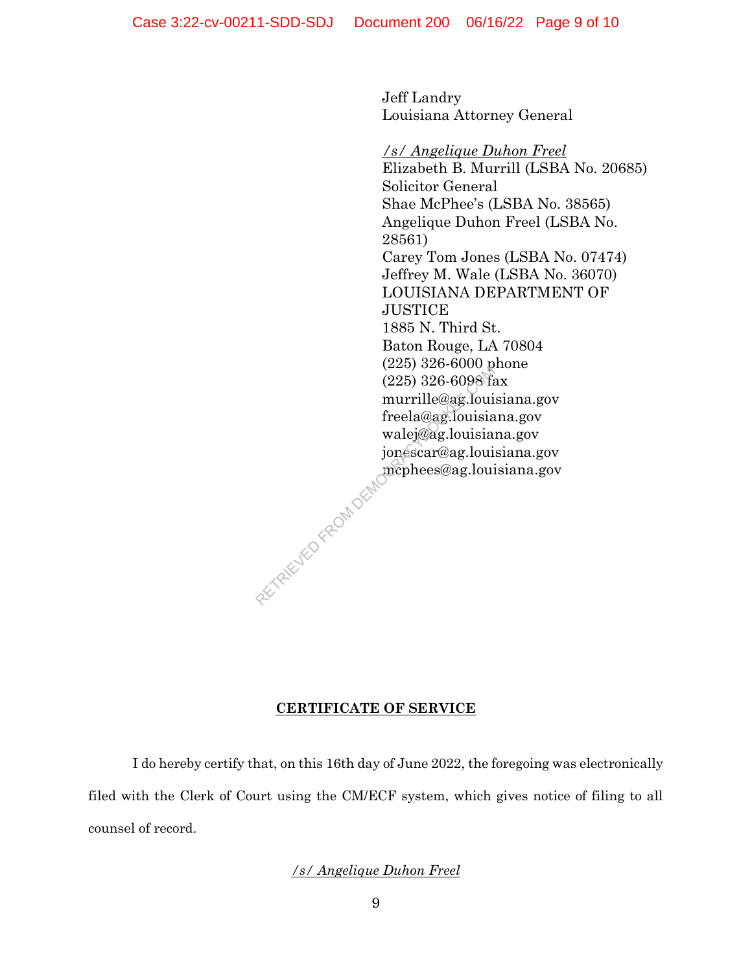Jeff Landry Louisiana Attorney General

#### */s/ Angelique Duhon Freel*

Elizabeth B. Murrill (LSBA No. 20685) Solicitor General Shae McPhee's (LSBA No. 38565) Angelique Duhon Freel (LSBA No. 28561) Carey Tom Jones (LSBA No. 07474) Jeffrey M. Wale (LSBA No. 36070) LOUISIANA DEPARTMENT OF **JUSTICE** 1885 N. Third St. Baton Rouge, LA 70804 (225) 326-6000 phone (225) 326-6098 fax murrille@ag.louisiana.gov freela@ag.louisiana.gov walej@ag.louisiana.gov jonescar@ag.louisiana.gov mcphees@ag.louisiana.gov  $(225) 326-6098$  from murrille@ag.loui<br>murrille@ag.louisia<br>walej@ag.louisia<br>ionéscar@ag.loui<br>mephees@ag.loui<br>mephees@ag.loui

### **CERTIFICATE OF SERVICE**

I do hereby certify that, on this 16th day of June 2022, the foregoing was electronically filed with the Clerk of Court using the CM/ECF system, which gives notice of filing to all counsel of record.

## */s/ Angelique Duhon Freel*